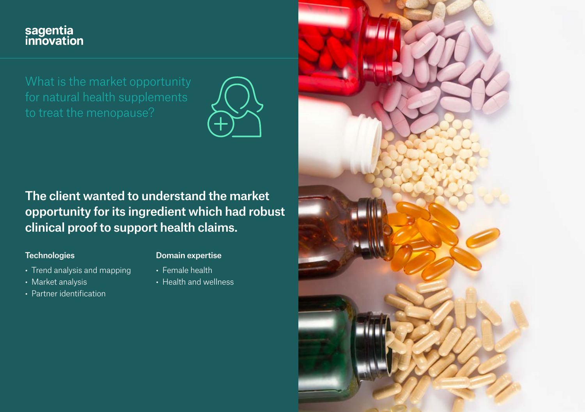# sagentia<br>innovation



The client wanted to understand the market opportunity for its ingredient which had robust clinical proof to support health claims.

#### **Technologies**

#### Domain expertise

- Trend analysis and mapping
- Market analysis
- Partner identification

• Female health • Health and wellness